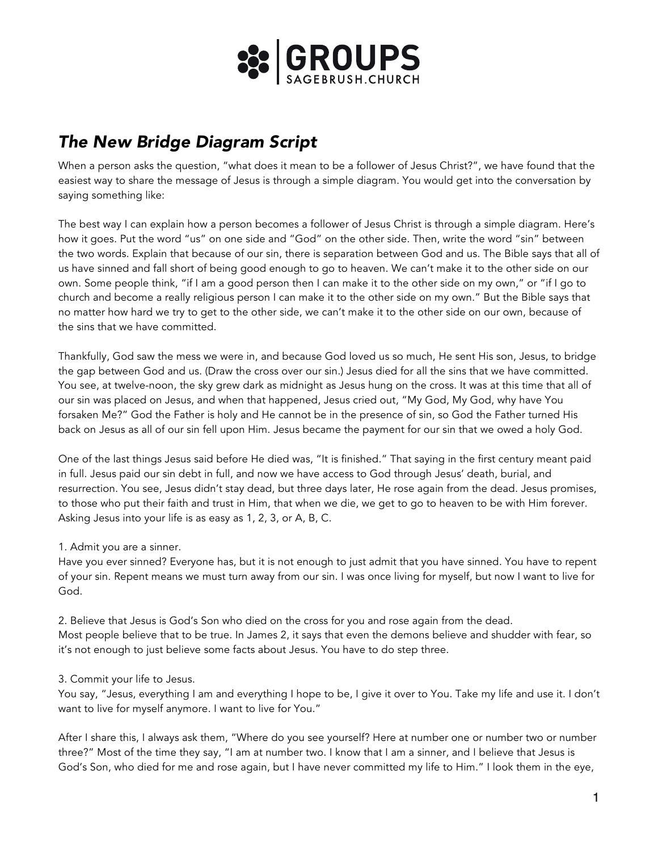

## *The New Bridge Diagram Script*

When a person asks the question, "what does it mean to be a follower of Jesus Christ?", we have found that the easiest way to share the message of Jesus is through a simple diagram. You would get into the conversation by saying something like:

The best way I can explain how a person becomes a follower of Jesus Christ is through a simple diagram. Here's how it goes. Put the word "us" on one side and "God" on the other side. Then, write the word "sin" between the two words. Explain that because of our sin, there is separation between God and us. The Bible says that all of us have sinned and fall short of being good enough to go to heaven. We can't make it to the other side on our own. Some people think, "if I am a good person then I can make it to the other side on my own," or "if I go to church and become a really religious person I can make it to the other side on my own." But the Bible says that no matter how hard we try to get to the other side, we can't make it to the other side on our own, because of the sins that we have committed.

Thankfully, God saw the mess we were in, and because God loved us so much, He sent His son, Jesus, to bridge the gap between God and us. (Draw the cross over our sin.) Jesus died for all the sins that we have committed. You see, at twelve-noon, the sky grew dark as midnight as Jesus hung on the cross. It was at this time that all of our sin was placed on Jesus, and when that happened, Jesus cried out, "My God, My God, why have You forsaken Me?" God the Father is holy and He cannot be in the presence of sin, so God the Father turned His back on Jesus as all of our sin fell upon Him. Jesus became the payment for our sin that we owed a holy God.

One of the last things Jesus said before He died was, "It is finished." That saying in the first century meant paid in full. Jesus paid our sin debt in full, and now we have access to God through Jesus' death, burial, and resurrection. You see, Jesus didn't stay dead, but three days later, He rose again from the dead. Jesus promises, to those who put their faith and trust in Him, that when we die, we get to go to heaven to be with Him forever. Asking Jesus into your life is as easy as 1, 2, 3, or A, B, C.

## 1. Admit you are a sinner.

Have you ever sinned? Everyone has, but it is not enough to just admit that you have sinned. You have to repent of your sin. Repent means we must turn away from our sin. I was once living for myself, but now I want to live for God.

2. Believe that Jesus is God's Son who died on the cross for you and rose again from the dead. Most people believe that to be true. In James 2, it says that even the demons believe and shudder with fear, so it's not enough to just believe some facts about Jesus. You have to do step three.

## 3. Commit your life to Jesus.

You say, "Jesus, everything I am and everything I hope to be, I give it over to You. Take my life and use it. I don't want to live for myself anymore. I want to live for You."

After I share this, I always ask them, "Where do you see yourself? Here at number one or number two or number three?" Most of the time they say, "I am at number two. I know that I am a sinner, and I believe that Jesus is God's Son, who died for me and rose again, but I have never committed my life to Him." I look them in the eye,